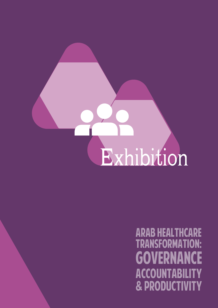

TRANSFORMATION: **GOVERNANCE ACCOUNTABILITY** & PRODUCTIVITY ARAB HEALTHCARE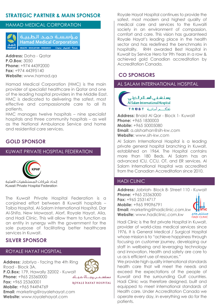## **STRATEGIC PARTNER & MAIN SPONSOR**

### HAMAD MEDICAL CORPORATION



أمؤسسة حماد الطبينة **Hamad Medical Corporation** 

**Address:** Doha - Qatar **P.O.Box:** 3050 **Phone:** +974 44392000 **Fax:** +974 44395140 **Website:** www.hamad.qa

Hamad Medical Corporation (HMC) is the main provider of specialist healthcare in Qatar and one of the leading hospital providers in the Middle East. HMC is dedicated to delivering the safest, most effective and compassionate care to all its patients.

HMC manages twelve hospitals – nine specialist hospitals and three community hospitals – as well as the National Ambulance Service and home and residential care services.

## **GOLD SPONSOR**

## KUWAIT PRIVATE HOSPITAL FEDERATION



اتحاد شركات المستشفيات الأهلية Kuwait Private Hospital Federation

The Kuwait Private Hospital Federation is a conjoined effort between 8 Kuwaiti hospitals – Taiba Hospital, Al-Salam International Hospital, Dar Al-Shifa, New Mowasat, Alorf, Royale Hayat, Alia, and Hadi Clinic. This will allow them to function as an entity in synergy with the government for the sole purpose of facilitating better healthcare services in Kuwait.

## **SILVER SPONSOR**

### ROYALE HAYAT HOSPITAL

**Address:** Jabriya - facing the 4th Ring Road - Block 3A. **P.O.Box:** 179, Hawally 32002 - Kuwait **Phone:** +965 25360000 مستسهس رويطلا ديكة **Fax:** +965 25360001 ROYALE HAYAT HOSPITAL **Mobile:** +965 94494769 **Email:** marketing@royalehayat.com

**Website:** www.royalehayat.com

Royale Hayat Hospital continues to provide the safest, most modern and highest quality of medical care and services to the Kuwaiti society in an environment of compassion, comfort and care. This vision has guaranteed Royale Hayat's leading place in the health sector and has redefined the benchmarks in hospitality. RHH awarded Best Hospital in Kuwait by Service Hero for 9th Years in a row & achieved gold Canadian accreditation by Accreditation Canada.

## **CO SPONSORS**

AL SALAM INTERNATIONAL HOSPITAL

وسنشفى اسلام الدولى Al Salam International Hospital TRUST a Jala Si

**Address:** Bnaid Al Qar - Block 1- Kuwait **Phone:** +965 1830003 **Mobile:** +965 50005080 **Email:** a.alsharhan@sih-kw.com **Website:** www.sih-kw.com

Al Salam International Hospital is a leading private general hospital branching in Kuwait, established on 1964. The Hospital contains more than 180 Beds. Al Salam has an advanced ICU, CCU, OT, and ER services. Al Salam International Hospital was accredited from the Canadian Accreditation since 2010.

### HADI CLINIC

**Address:** Jabriah- Block 8- Street 110 - Kuwait **Phone:** +965 25363000 **Fax:** +965 25314717 **Mobile:** +965 99096791 **Email:** marketing@hadiclinic.com.kw **Website:** www.hadiclinic.com.kw مستشفى هادى



Hadi Clinic is the first private Hospital in Kuwait, provider of world-class medical services since 1976, It is General Medical / Surgical Hospital whose mission is to "achieve happiness through focusing on customer journey, developing our staff in wellbeing and leveraging technology and innovation. Health and safety are core to us as is efficient use of resources."

We provide high quality international standards health care that will meet the needs and exceed the expectations of the people of Kuwait and the surrounding Gulf countries. Hadi Clinic was therefore designed, built and equipped to meet international standards of Health care. Under Accreditation Canada we operate every day, in everything we do for the patients.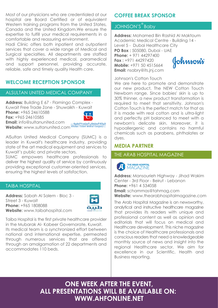Most of our physicians who are credentialed at our hospital are Board Certified or of equivalent Western training programs from the United States, Canada and the United Kingdom.We ensure the expertise to fulfill your medical requirements in a comfortable and reassuring environment.

Hadi Clinic offers both inpatient and outpatient services that cover a wide range of Medical and Surgical specialties. All departments are staffed with highly experienced medical, paramedical and support personnel, providing accurate, reliable, safe and timely quality Health care.

## **WELCOME RECEPTION SPONSOR**

### ALSULTAN UNITED MEDICAL COMPANY

**Address:** Building E 67 - Flamingo Complex - Kuwait Free Trade Zone - Shuwaikh - Kuwait **Phone:** +965 24610588 **Fax:** +965 24610585



**Email:** info@sultanunited.com **Website:** www.sultanunited.com

AlSultan United Medical Company (SUMC) is a leader in Kuwait's healthcare industry, providing state of the art medical equipment and services to Kuwait's public and private sectors.

SUMC empowers healthcare professionals to deliver the highest quality of service by continuously providing exceptional customer-oriented services, ensuring the highest levels of satisfaction.

### TAIBA HOSPITAL

**Address:** Sabah Al Salem - Bloc 3 - Street 3 - Kuwait **Phone:** +965 1808088 **Website:** www.taibahospital.com



Taiba Hospital is the first private healthcare provider in the Mubarak Al- Kabeer Governorate, Kuwait. Its medical team is a synchronized effort between national and international expertise, permeated through numerous services that are offered through an amalgamation of 22 departments and accommodates 110 beds.

# **COFFEE BREAK SPONSOR**

# JOHNSON'S<sup>®</sup>Baby

**Address:** Mohamed Bin Rashid Al Maktoum Academic Medical Centre - Building 14 - Level 5 - Dubai Healthcare City **PO Box :** 505080, Dubai - UAE **Phone:** + 971 44297400 **Fax :** +971 44297420 Johnson's **Mobile:** +971 50 4515664 **Email:** nsabry@its.jnj.com

Johnson's Cotton Touch

We are here to promote and demonstrate our new product, The NEW Cotton Touch Newborn range. Since babies' skin is up to 30% thinner, a new product transformation is required to meet that sensitivity. Johnson's Cotton Touch is the perfect match for that as it is made with real cotton and is ultra-light and perfectly pH balanced to meet with a newborn's delicate skin. Moreover, it is hypoallergenic and contains no harmful chemicals such as parabens, phthalates or dyes.

# **MEDIA PARTNER**

### THE ARAB HOSPITAL MAGAZINE

#### THE ARAB HOSPITAL **MAGAZINE**

**Address:** Mansourieh Highway - Jihad Wakim Center - 3rd Floor - Beirut - Lebanon **Phone:** +961 4 534058 **Email:** schammas@tahmag.com **Website:** www.thearabhospitalmagazine.com

The Arab Hospital Magazine is an newsworthy, analytical and instructive healthcare magazine that provides its readers with unique and professional content as well as opinion and editorials that will focus on medical and Healthcare development. This niche magazine is the choice of Healthcare professionals and conscious readers that need a knowledgeable monthly source of news and insight into the regional Healthcare sector. We aim for excellence in our Scientific, Health and Business reporting.

**ONE WEEK AFTER THE EVENT, ALL PRESENTATIONS WILL BE AVAILABLE ON: WWW.AHFONLINE.NET**